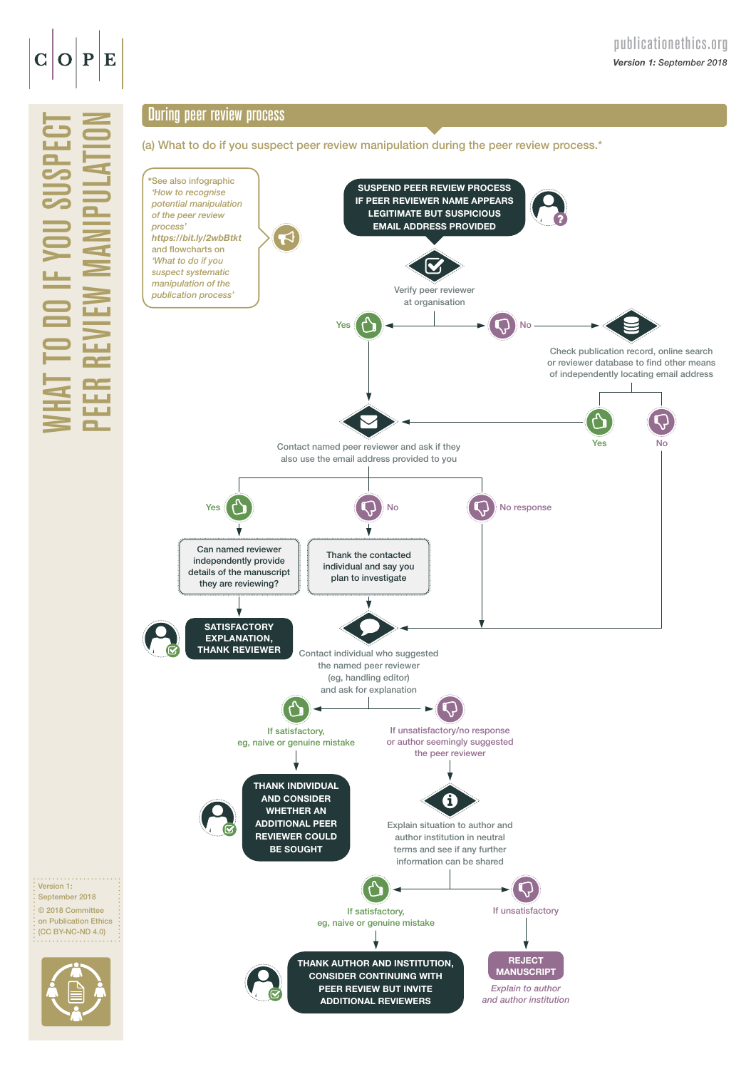

WHAT TO

September 2018

do if you suspect

## During peer review process

(a) What to do if you suspect peer review manipulation during the peer review process.\*